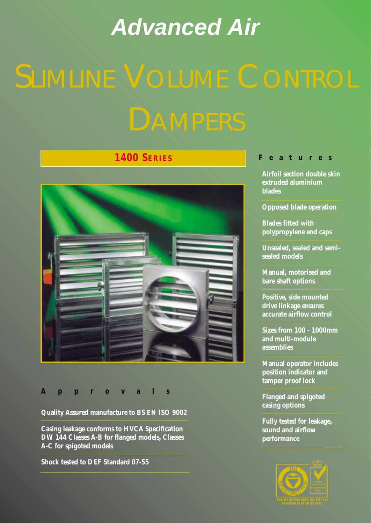# <span id="page-0-0"></span>*Advanced Air*

# **1400 SERIES**



#### **Approvals**

**Quality Assured manufacture to BS EN ISO 9002**

**Casing leakage conforms to HVCA Specification DW 144 Classes A-B for flanged models, Classes A-C for spigoted models**

**Shock tested to DEF Standard 07-55**

#### **Features**

**Airfoil section double skin extruded aluminium blades**

**Opposed blade operation**

**Blades fitted with polypropylene end caps**

**Unsealed, sealed and semisealed models**

**Manual, motorised and bare shaft options**

**Positive, side mounted drive linkage ensures accurate airflow control** 

**Sizes from 100 - 1000mm and multi-module assemblies**

**Manual operator includes position indicator and tamper proof lock**

**Flanged and spigoted casing options**

**Fully tested for leakage, sound and airflow performance**

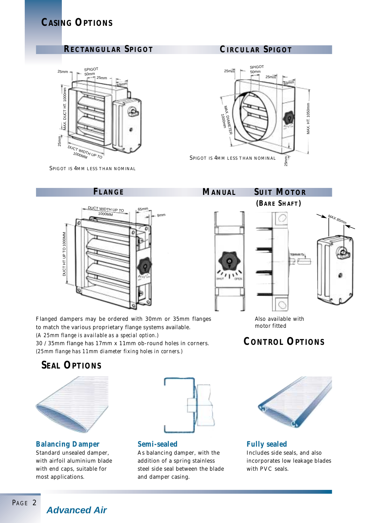# **CASING OPTIONS**

### **RECTANGULAR SPIGOT CIRCULAR SPIGOT**



SPIGOT IS 4MM LESS THAN NOMINAL



### **FLANGE MANUAL SUIT MOTOR**



Flanged dampers may be ordered with 30mm or 35mm flanges to match the various proprietary flange systems available. *(A 25mm flange is available as a special option.)* 30 / 35mm flange has 17mm x 11mm ob-round holes in corners. *(25mm flange has 11mm diameter fixing holes in corners.)*

# **SEAL OPTIONS**



**Balancing Damper**

Standard unsealed damper, with airfoil aluminium blade with end caps, suitable for most applications.



**Semi-sealed**

As balancing damper, with the addition of a spring stainless steel side seal between the blade and damper casing.



Also available with motor fitted

# **CONTROL OPTIONS**



**Fully sealed** Includes side seals, and also incorporates low leakage blades with PVC seals.

*Advanced Air*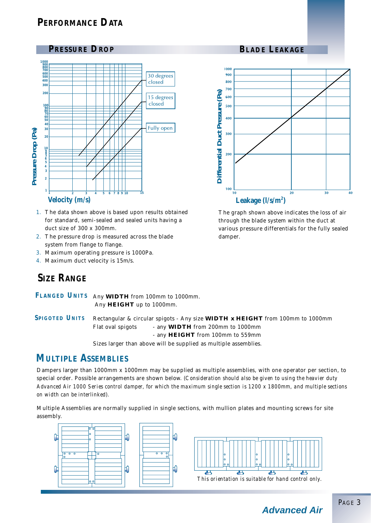# **PERFORMANCE DATA**



- 1. The data shown above is based upon results obtained for standard, semi-sealed and sealed units having a duct size of 300 x 300mm.
- 2. The pressure drop is measured across the blade system from flange to flange.
- 3. Maximum operating pressure is 1000Pa.
- 4. Maximum duct velocity is 15m/s.

#### **PRESSURE DROP BLADE LEAKAGE**



The graph shown above indicates the loss of air through the blade system within the duct at various pressure differentials for the fully sealed damper.

# **SIZE RANGE**

FLANGED UNITS Any WIDTH from 100mm to 1000mm. Any **HEIGHT** up to 1000mm.

Rectangular & circular spigots - Any size **WIDTH x HEIGHT** from 100mm to 1000mm Flat oval spigots - any **WIDTH** from 200mm to 1000mm - any **HEIGHT** from 100mm to 559mm Sizes larger than above will be supplied as multiple assemblies. **SPIGOTED UNITS**

### **MULTIPLE ASSEMBLIES**

Dampers larger than 1000mm x 1000mm may be supplied as multiple assemblies, with one operator per section, to special order. Possible arrangements are shown below. *(Consideration should also be given to using the heavier duty Advanced Air 1000 Series control damper, for which the maximum single section is 1200 x 1800mm, and multiple sections on width can be interlinked).*

Multiple Assemblies are normally supplied in single sections, with mullion plates and mounting screws for site assembly.





*This orientation is suitable for hand control only.*

*Advanced Air*